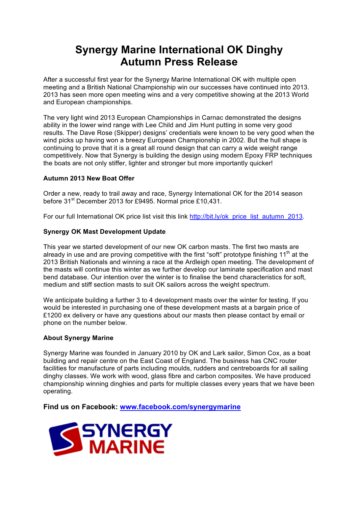## **Synergy Marine International OK Dinghy Autumn Press Release**

After a successful first year for the Synergy Marine International OK with multiple open meeting and a British National Championship win our successes have continued into 2013. 2013 has seen more open meeting wins and a very competitive showing at the 2013 World and European championships.

The very light wind 2013 European Championships in Carnac demonstrated the designs ability in the lower wind range with Lee Child and Jim Hunt putting in some very good results. The Dave Rose (Skipper) designs' credentials were known to be very good when the wind picks up having won a breezy European Championship in 2002. But the hull shape is continuing to prove that it is a great all round design that can carry a wide weight range competitively. Now that Synergy is building the design using modern Epoxy FRP techniques the boats are not only stiffer, lighter and stronger but more importantly quicker!

## **Autumn 2013 New Boat Offer**

Order a new, ready to trail away and race, Synergy International OK for the 2014 season before 31<sup>st</sup> December 2013 for £9495. Normal price £10,431.

For our full International OK price list visit this link http://bit.ly/ok\_price\_list\_autumn\_2013.

## **Synergy OK Mast Development Update**

This year we started development of our new OK carbon masts. The first two masts are already in use and are proving competitive with the first "soft" prototype finishing  $11<sup>th</sup>$  at the 2013 British Nationals and winning a race at the Ardleigh open meeting. The development of the masts will continue this winter as we further develop our laminate specification and mast bend database. Our intention over the winter is to finalise the bend characteristics for soft, medium and stiff section masts to suit OK sailors across the weight spectrum.

We anticipate building a further 3 to 4 development masts over the winter for testing. If you would be interested in purchasing one of these development masts at a bargain price of £1200 ex delivery or have any questions about our masts then please contact by email or phone on the number below.

## **About Synergy Marine**

Synergy Marine was founded in January 2010 by OK and Lark sailor, Simon Cox, as a boat building and repair centre on the East Coast of England. The business has CNC router facilities for manufacture of parts including moulds, rudders and centreboards for all sailing dinghy classes. We work with wood, glass fibre and carbon composites. We have produced championship winning dinghies and parts for multiple classes every years that we have been operating.

**Find us on Facebook: www.facebook.com/synergymarine**